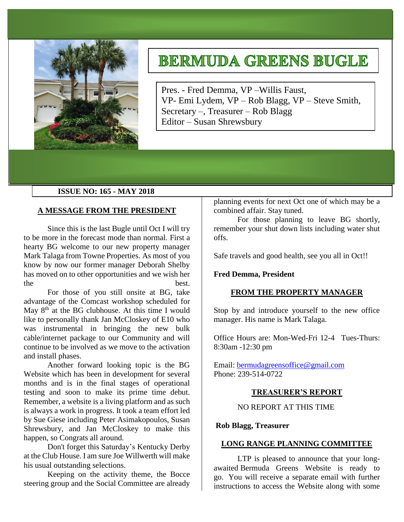

# **BERMUDA GREENS BUGLE**

Pres. - Fred Demma, VP –Willis Faust, VP- Emi Lydem, VP – Rob Blagg, VP – Steve Smith, Secretary –, Treasurer – Rob Blagg Editor – Susan Shrewsbury

# **ISSUE NO: 165 - MAY 2018**

# **A MESSAGE FROM THE PRESIDENT**

Since this is the last Bugle until Oct I will try to be more in the forecast mode than normal. First a hearty BG welcome to our new property manager Mark Talaga from Towne Properties. As most of you know by now our former manager Deborah Shelby has moved on to other opportunities and we wish her the best.

For those of you still onsite at BG, take advantage of the Comcast workshop scheduled for May  $8<sup>th</sup>$  at the BG clubhouse. At this time I would like to personally thank Jan McCloskey of E10 who was instrumental in bringing the new bulk cable/internet package to our Community and will continue to be involved as we move to the activation and install phases.

Another forward looking topic is the BG Website which has been in development for several months and is in the final stages of operational testing and soon to make its prime time debut. Remember, a website is a living platform and as such is always a work in progress. It took a team effort led by Sue Giese including Peter Asimakopoulos, Susan Shrewsbury, and Jan McCloskey to make this happen, so Congrats all around.

Don't forget this Saturday's Kentucky Derby at the Club House. I am sure Joe Willwerth will make his usual outstanding selections.

Keeping on the activity theme, the Bocce steering group and the Social Committee are already

planning events for next Oct one of which may be a combined affair. Stay tuned.

For those planning to leave BG shortly, remember your shut down lists including water shut offs.

Safe travels and good health, see you all in Oct!!

# **Fred Demma, President**

#### **FROM THE PROPERTY MANAGER**

Stop by and introduce yourself to the new office manager. His name is Mark Talaga.

Office Hours are: Mon-Wed-Fri 12-4 Tues-Thurs: 8:30am -12:30 pm

Email: [bermudagreensoffice@gmail.com](mailto:bermudagreensoffice@gmail.com) Phone: 239-514-0722

# **TREASURER'S REPORT**

NO REPORT AT THIS TIME

#### **Rob Blagg, Treasurer**

# **LONG RANGE PLANNING COMMITTEE**

LTP is pleased to announce that your longawaited Bermuda Greens Website is ready to go. You will receive a separate email with further instructions to access the Website along with some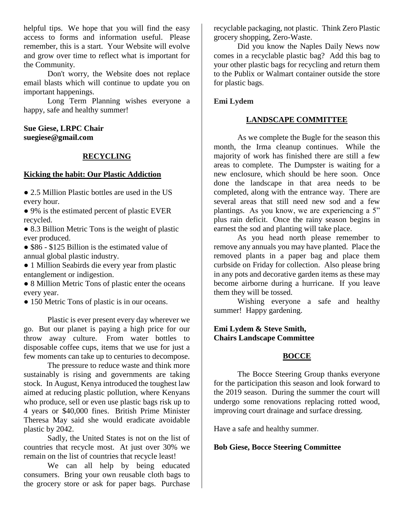helpful tips. We hope that you will find the easy access to forms and information useful. Please remember, this is a start. Your Website will evolve and grow over time to reflect what is important for the Community.

Don't worry, the Website does not replace email blasts which will continue to update you on important happenings.

Long Term Planning wishes everyone a happy, safe and healthy summer!

**Sue Giese, LRPC Chair suegiese@gmail.com**

# **RECYCLING**

#### **Kicking the habit: Our Plastic Addiction**

• 2.5 Million Plastic bottles are used in the US every hour.

● 9% is the estimated percent of plastic EVER recycled.

• 8.3 Billion Metric Tons is the weight of plastic ever produced.

• \$86 - \$125 Billion is the estimated value of annual global plastic industry.

● 1 Million Seabirds die every year from plastic entanglement or indigestion.

• 8 Million Metric Tons of plastic enter the oceans every year.

• 150 Metric Tons of plastic is in our oceans.

Plastic is ever present every day wherever we go. But our planet is paying a high price for our throw away culture. From water bottles to disposable coffee cups, items that we use for just a few moments can take up to centuries to decompose.

The pressure to reduce waste and think more sustainably is rising and governments are taking stock. In August, Kenya introduced the toughest law aimed at reducing plastic pollution, where Kenyans who produce, sell or even use plastic bags risk up to 4 years or \$40,000 fines. British Prime Minister Theresa May said she would eradicate avoidable plastic by 2042.

Sadly, the United States is not on the list of countries that recycle most. At just over 30% we remain on the list of countries that recycle least!

We can all help by being educated consumers. Bring your own reusable cloth bags to the grocery store or ask for paper bags. Purchase

recyclable packaging, not plastic. Think Zero Plastic grocery shopping, Zero-Waste.

Did you know the Naples Daily News now comes in a recyclable plastic bag? Add this bag to your other plastic bags for recycling and return them to the Publix or Walmart container outside the store for plastic bags.

# **Emi Lydem**

# **LANDSCAPE COMMITTEE**

As we complete the Bugle for the season this month, the Irma cleanup continues. While the majority of work has finished there are still a few areas to complete. The Dumpster is waiting for a new enclosure, which should be here soon. Once done the landscape in that area needs to be completed, along with the entrance way. There are several areas that still need new sod and a few plantings. As you know, we are experiencing a 5" plus rain deficit. Once the rainy season begins in earnest the sod and planting will take place.

As you head north please remember to remove any annuals you may have planted. Place the removed plants in a paper bag and place them curbside on Friday for collection. Also please bring in any pots and decorative garden items as these may become airborne during a hurricane. If you leave them they will be tossed.

Wishing everyone a safe and healthy summer! Happy gardening.

**Emi Lydem & Steve Smith, Chairs Landscape Committee**

# **BOCCE**

The Bocce Steering Group thanks everyone for the participation this season and look forward to the 2019 season. During the summer the court will undergo some renovations replacing rotted wood, improving court drainage and surface dressing.

Have a safe and healthy summer.

**Bob Giese, Bocce Steering Committee**